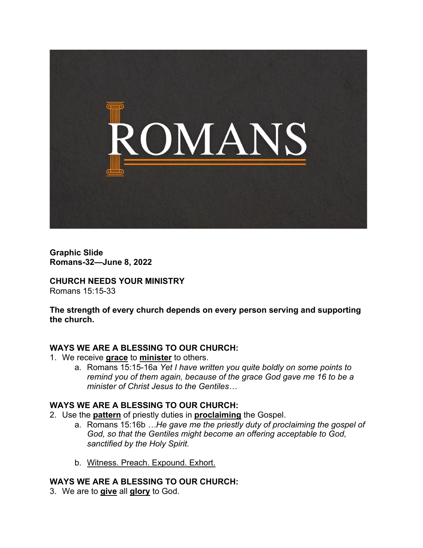

**Graphic Slide Romans-32—June 8, 2022**

**CHURCH NEEDS YOUR MINISTRY** Romans 15:15-33

**The strength of every church depends on every person serving and supporting the church.**

### **WAYS WE ARE A BLESSING TO OUR CHURCH:**

- 1. We receive **grace** to **minister** to others.
	- a. Romans 15:15-16a *Yet I have written you quite boldly on some points to remind you of them again, because of the grace God gave me 16 to be a minister of Christ Jesus to the Gentiles…*

### **WAYS WE ARE A BLESSING TO OUR CHURCH:**

- 2. Use the **pattern** of priestly duties in **proclaiming** the Gospel.
	- a. Romans 15:16b *…He gave me the priestly duty of proclaiming the gospel of God, so that the Gentiles might become an offering acceptable to God, sanctified by the Holy Spirit.*
	- b. Witness. Preach. Expound. Exhort.

### **WAYS WE ARE A BLESSING TO OUR CHURCH:**

3. We are to **give** all **glory** to God.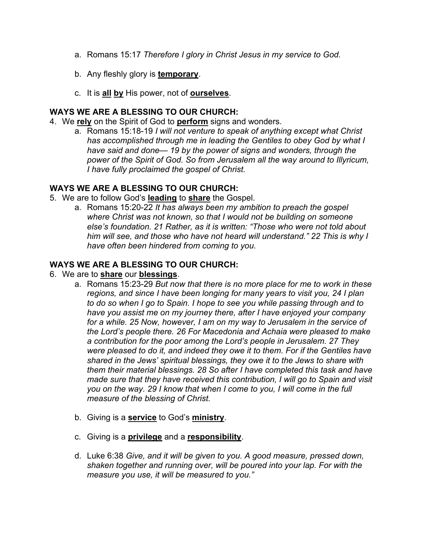- a. Romans 15:17 *Therefore I glory in Christ Jesus in my service to God.*
- b. Any fleshly glory is **temporary**.
- c. It is **all by** His power, not of **ourselves**.

# **WAYS WE ARE A BLESSING TO OUR CHURCH:**

- 4. We **rely** on the Spirit of God to **perform** signs and wonders.
	- a. Romans 15:18-19 *I will not venture to speak of anything except what Christ has accomplished through me in leading the Gentiles to obey God by what I have said and done— 19 by the power of signs and wonders, through the power of the Spirit of God. So from Jerusalem all the way around to Illyricum, I have fully proclaimed the gospel of Christ.*

## **WAYS WE ARE A BLESSING TO OUR CHURCH:**

- 5. We are to follow God's **leading** to **share** the Gospel.
	- a. Romans 15:20-22 *It has always been my ambition to preach the gospel where Christ was not known, so that I would not be building on someone else's foundation. 21 Rather, as it is written: "Those who were not told about him will see, and those who have not heard will understand." 22 This is why I have often been hindered from coming to you.*

## **WAYS WE ARE A BLESSING TO OUR CHURCH:**

- 6. We are to **share** our **blessings**.
	- a. Romans 15:23-29 *But now that there is no more place for me to work in these regions, and since I have been longing for many years to visit you, 24 I plan to do so when I go to Spain. I hope to see you while passing through and to have you assist me on my journey there, after I have enjoyed your company for a while. 25 Now, however, I am on my way to Jerusalem in the service of the Lord's people there. 26 For Macedonia and Achaia were pleased to make a contribution for the poor among the Lord's people in Jerusalem. 27 They were pleased to do it, and indeed they owe it to them. For if the Gentiles have shared in the Jews' spiritual blessings, they owe it to the Jews to share with them their material blessings. 28 So after I have completed this task and have made sure that they have received this contribution, I will go to Spain and visit you on the way. 29 I know that when I come to you, I will come in the full measure of the blessing of Christ.*
	- b. Giving is a **service** to God's **ministry**.
	- c. Giving is a **privilege** and a **responsibility**.
	- d. Luke 6:38 *Give, and it will be given to you. A good measure, pressed down, shaken together and running over, will be poured into your lap. For with the measure you use, it will be measured to you."*